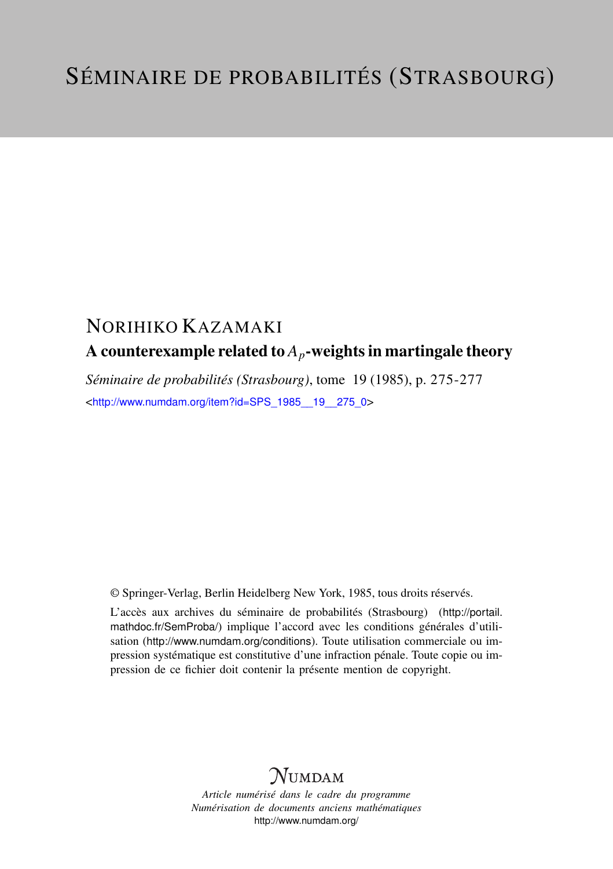## NORIHIKO KAZAMAKI A counterexample related to  $A_p$ -weights in martingale theory

*Séminaire de probabilités (Strasbourg)*, tome 19 (1985), p. 275-277 <[http://www.numdam.org/item?id=SPS\\_1985\\_\\_19\\_\\_275\\_0](http://www.numdam.org/item?id=SPS_1985__19__275_0)>

© Springer-Verlag, Berlin Heidelberg New York, 1985, tous droits réservés.

L'accès aux archives du séminaire de probabilités (Strasbourg) ([http://portail.](http://portail.mathdoc.fr/SemProba/) [mathdoc.fr/SemProba/](http://portail.mathdoc.fr/SemProba/)) implique l'accord avec les conditions générales d'utilisation (<http://www.numdam.org/conditions>). Toute utilisation commerciale ou impression systématique est constitutive d'une infraction pénale. Toute copie ou impression de ce fichier doit contenir la présente mention de copyright.

## **NUMDAM**

*Article numérisé dans le cadre du programme Numérisation de documents anciens mathématiques* <http://www.numdam.org/>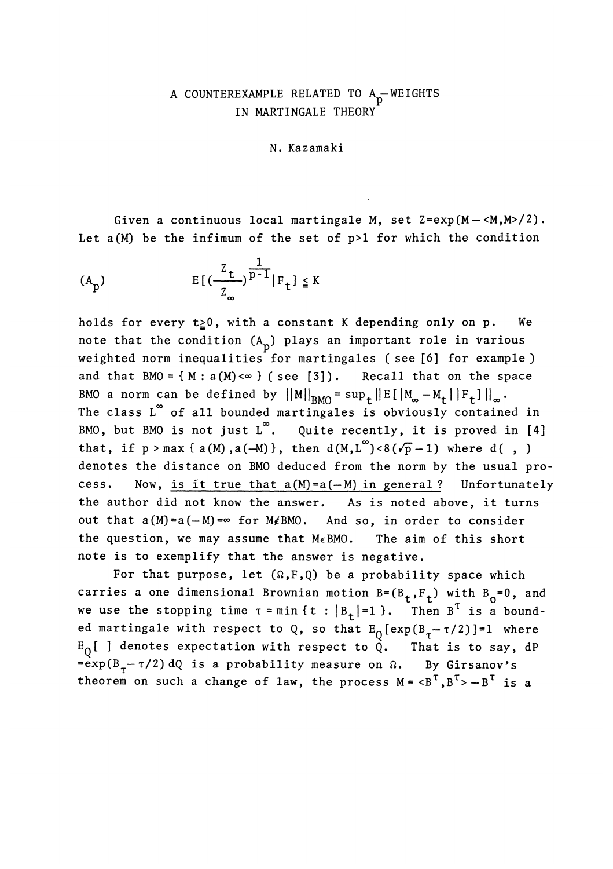## A COUNTEREXAMPLE RELATED TO  $A_p$ -WEIGHTS<br>IN MARTINGALE THEORY

N. Kazamaki

Given a continuous local martingale M, set Z=exp(M-<M,M>/2). Let  $a(M)$  be the infimum of the set of  $p>1$  for which the condition

$$
E[(\frac{z_t}{z_\infty})^{\frac{1}{p-1}}|F_t] \leq K
$$

holds for every  $t \ge 0$ , with a constant K depending only on p. We note that the condition  $(A_n)$  plays an important role in various weighted norm inequalities for martingales (see [6] for example) and that  $BMO = \{ M : a(M) < \infty \}$  (see [3]). Recall that on the space BMO a norm can be defined by  $||M||_{BMO} = \sup_{t} ||E[|M_{\infty} - M_t| |F_t]||_{\infty}$ . The class L<sup>∞</sup> of all bounded martingales is obviously contained in BMO, but BMO is not just  $L^{\infty}$ . Quite recently, it is proved in [4] that, if  $p > max \{ a(M), a(-M) \}$ , then  $d(M, L^{\infty}) < 8(\sqrt{p}-1)$  where d(,) denotes the distance on BMO deduced from the norm by the usual process. Now, is it true that  $a(M)=a(-M)$  in general? Unfortunately the author did not know the answer. As is noted above, it turns out that  $a(M)=a(-M)$  =  $\infty$  for M $\not\in$  BMO. And so, in order to consider the question, we may assume that  $M \in BMO$ . The aim of this short note is to exemplify that the answer is negative.

For that purpose, let  $(\Omega, F, Q)$  be a probability space which carries a one dimensional Brownian motion  $B=(B_t,F_t)$  with  $B_0=0$ , and we use the stopping time  $\tau = \min \{ t : |B_t| = 1 \}$ . Then  $B^T$  is a bounded martingale with respect to Q, so that  $E_0[\exp(B_{\tau}-\tau/2)]=1$  where  $E_Q$ [ ] denotes expectation with respect to  $\check{Q}$ . That is to say, dP is a probability measure on  $\Omega$ . By Girsanov's theorem on such a change of law, the process  $M = {**B**<sup>T</sup>, **B**<sup>T</sup> > - **B**<sup>T</sup>$  is a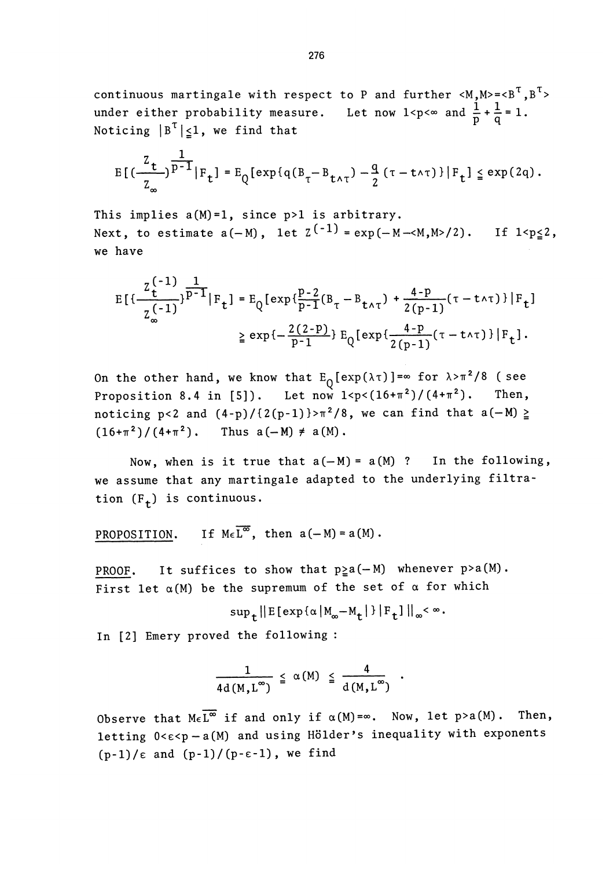continuous martingale with respect to P and further  $\langle M, M \rangle = \langle B^T, B^T \rangle$ under either probability measure. Let now  $1 < p < \infty$  and  $\frac{1}{p} + \frac{1}{q} = 1$ . Noticing  $|B^T|\leq 1$ , we find that

$$
E[(\frac{z_t}{z_\infty})^{\frac{1}{p-1}}|F_t] = E_{Q}[\exp\{q(B_{\tau}-B_{t\wedge\tau}) - \frac{q}{2}(\tau - t\wedge\tau)\}|F_t] \leq \exp(2q).
$$

This implies  $a(M)=1$ , since  $p>1$  is arbitrary. Next, to estimate  $a(-M)$ , let  $Z^{(-1)} = exp(-M - < M, M>2)$ . If  $1 < p \le 2$ , we have .

$$
E\left[\frac{z_{t}^{(-1)}}{z_{\infty}^{(-1)}}\right]^{p-1}|F_{t}] = E_{Q}\left[\exp\left\{\frac{p-2}{p-1}(B_{\tau}-B_{t\wedge\tau}) + \frac{4-p}{2(p-1)}(\tau-t\wedge\tau)\right\}|F_{t}\right]
$$

$$
\geq \exp\left\{-\frac{2(2-p)}{p-1}\right\}E_{Q}\left[\exp\left\{\frac{4-p}{2(p-1)}(\tau-t\wedge\tau)\right\}|F_{t}\right].
$$

On the other hand, we know that  $E_0[exp(\lambda \tau)] = \infty$  for  $\lambda > \pi^2/8$  (see Proposition 8.4 in [5]). Let now  $1 < p < (16+\pi^2)/(4+\pi^2)$ . Then, noticing p<2 and  $(4-p)/(2(p-1))$ > $\pi^2/8$ , we can find that a(-M)  $\ge$  $(16+\pi^2)/(4+\pi^2)$ , Thus  $a(-M) \neq a(M)$ .

Now, when is it true that  $a(-M) = a(M)$  ? In the following, we assume that any martingale adapted to the underlying filtration  $(F<sub>+</sub>)$  is continuous.

PROPOSITION. If  $M \in \overline{L^{\infty}}$ , then  $a(-M) = a(M)$ .

PROOF. It suffices to show that  $p \ge a(-M)$  whenever  $p > a(M)$ . First let  $\alpha(M)$  be the supremum of the set of  $\alpha$  for which

$$
\sup\nolimits_{t}||E[\exp{\{\alpha |M_{\infty}-M_{t}|}\}|F_{t}]\|_{\infty}<\infty.
$$

In [2] Emery proved the following :

$$
\frac{1}{4d(M,L^{\infty})} \leq \alpha(M) \leq \frac{4}{d(M,L^{\infty})} .
$$

Observe that  $M_{\epsilon} \overline{L^{\infty}}$  if and only if  $\alpha(M)=\infty$ . Now, let p>a(M). Then, letting  $0 < \varepsilon < p - a(M)$  and using Hölder's inequality with exponents  $(p-1)/\epsilon$  and  $(p-1)/ (p-\epsilon-1)$ , we find